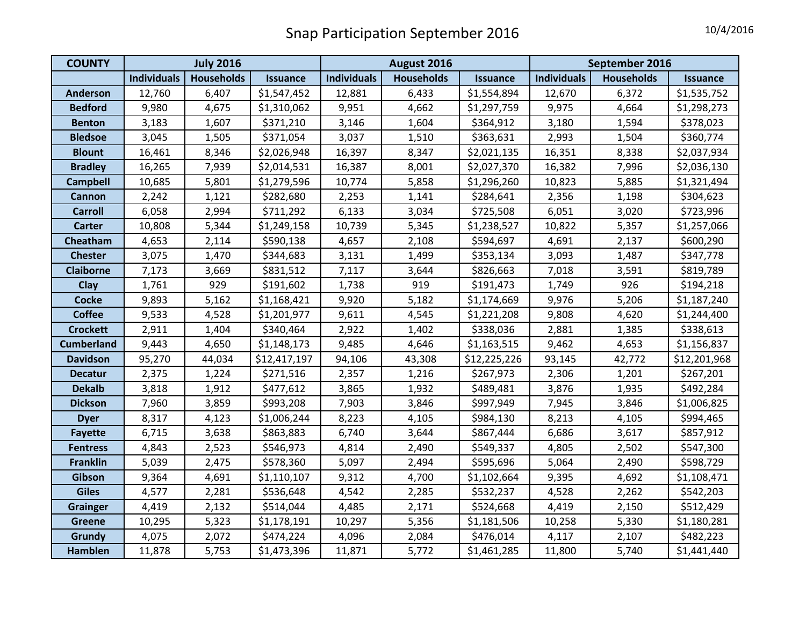| <b>COUNTY</b>     | <b>July 2016</b>   |                   |                 | August 2016        |                   |                 | September 2016     |                   |                 |
|-------------------|--------------------|-------------------|-----------------|--------------------|-------------------|-----------------|--------------------|-------------------|-----------------|
|                   | <b>Individuals</b> | <b>Households</b> | <b>Issuance</b> | <b>Individuals</b> | <b>Households</b> | <b>Issuance</b> | <b>Individuals</b> | <b>Households</b> | <b>Issuance</b> |
| <b>Anderson</b>   | 12,760             | 6,407             | \$1,547,452     | 12,881             | 6,433             | \$1,554,894     | 12,670             | 6,372             | \$1,535,752     |
| <b>Bedford</b>    | 9,980              | 4,675             | \$1,310,062     | 9,951              | 4,662             | \$1,297,759     | 9,975              | 4,664             | \$1,298,273     |
| <b>Benton</b>     | 3,183              | 1,607             | \$371,210       | 3,146              | 1,604             | \$364,912       | 3,180              | 1,594             | \$378,023       |
| <b>Bledsoe</b>    | 3,045              | 1,505             | \$371,054       | 3,037              | 1,510             | \$363,631       | 2,993              | 1,504             | \$360,774       |
| <b>Blount</b>     | 16,461             | 8,346             | \$2,026,948     | 16,397             | 8,347             | \$2,021,135     | 16,351             | 8,338             | \$2,037,934     |
| <b>Bradley</b>    | 16,265             | 7,939             | \$2,014,531     | 16,387             | 8,001             | \$2,027,370     | 16,382             | 7,996             | \$2,036,130     |
| <b>Campbell</b>   | 10,685             | 5,801             | \$1,279,596     | 10,774             | 5,858             | \$1,296,260     | 10,823             | 5,885             | \$1,321,494     |
| <b>Cannon</b>     | 2,242              | 1,121             | \$282,680       | 2,253              | 1,141             | \$284,641       | 2,356              | 1,198             | \$304,623       |
| <b>Carroll</b>    | 6,058              | 2,994             | \$711,292       | 6,133              | 3,034             | \$725,508       | 6,051              | 3,020             | \$723,996       |
| <b>Carter</b>     | 10,808             | 5,344             | \$1,249,158     | 10,739             | 5,345             | \$1,238,527     | 10,822             | 5,357             | \$1,257,066     |
| Cheatham          | 4,653              | 2,114             | \$590,138       | 4,657              | 2,108             | \$594,697       | 4,691              | 2,137             | \$600,290       |
| <b>Chester</b>    | 3,075              | 1,470             | \$344,683       | 3,131              | 1,499             | \$353,134       | 3,093              | 1,487             | \$347,778       |
| <b>Claiborne</b>  | 7,173              | 3,669             | \$831,512       | 7,117              | 3,644             | \$826,663       | 7,018              | 3,591             | \$819,789       |
| Clay              | 1,761              | 929               | \$191,602       | 1,738              | 919               | \$191,473       | 1,749              | 926               | \$194,218       |
| <b>Cocke</b>      | 9,893              | 5,162             | \$1,168,421     | 9,920              | 5,182             | \$1,174,669     | 9,976              | 5,206             | \$1,187,240     |
| <b>Coffee</b>     | 9,533              | 4,528             | \$1,201,977     | 9,611              | 4,545             | \$1,221,208     | 9,808              | 4,620             | \$1,244,400     |
| <b>Crockett</b>   | 2,911              | 1,404             | \$340,464       | 2,922              | 1,402             | \$338,036       | 2,881              | 1,385             | \$338,613       |
| <b>Cumberland</b> | 9,443              | 4,650             | \$1,148,173     | 9,485              | 4,646             | \$1,163,515     | 9,462              | 4,653             | \$1,156,837     |
| <b>Davidson</b>   | 95,270             | 44,034            | \$12,417,197    | 94,106             | 43,308            | \$12,225,226    | 93,145             | 42,772            | \$12,201,968    |
| <b>Decatur</b>    | 2,375              | 1,224             | \$271,516       | 2,357              | 1,216             | \$267,973       | 2,306              | 1,201             | \$267,201       |
| <b>Dekalb</b>     | 3,818              | 1,912             | \$477,612       | 3,865              | 1,932             | \$489,481       | 3,876              | 1,935             | \$492,284       |
| <b>Dickson</b>    | 7,960              | 3,859             | \$993,208       | 7,903              | 3,846             | \$997,949       | 7,945              | 3,846             | \$1,006,825     |
| <b>Dyer</b>       | 8,317              | 4,123             | \$1,006,244     | 8,223              | 4,105             | \$984,130       | 8,213              | 4,105             | \$994,465       |
| <b>Fayette</b>    | 6,715              | 3,638             | \$863,883       | 6,740              | 3,644             | \$867,444       | 6,686              | 3,617             | \$857,912       |
| <b>Fentress</b>   | 4,843              | 2,523             | \$546,973       | 4,814              | 2,490             | \$549,337       | 4,805              | 2,502             | \$547,300       |
| <b>Franklin</b>   | 5,039              | 2,475             | \$578,360       | 5,097              | 2,494             | \$595,696       | 5,064              | 2,490             | \$598,729       |
| Gibson            | 9,364              | 4,691             | \$1,110,107     | 9,312              | 4,700             | \$1,102,664     | 9,395              | 4,692             | \$1,108,471     |
| <b>Giles</b>      | 4,577              | 2,281             | \$536,648       | 4,542              | 2,285             | \$532,237       | 4,528              | 2,262             | \$542,203       |
| <b>Grainger</b>   | 4,419              | 2,132             | \$514,044       | 4,485              | 2,171             | \$524,668       | 4,419              | 2,150             | \$512,429       |
| <b>Greene</b>     | 10,295             | 5,323             | \$1,178,191     | 10,297             | 5,356             | \$1,181,506     | 10,258             | 5,330             | \$1,180,281     |
| Grundy            | 4,075              | 2,072             | \$474,224       | 4,096              | 2,084             | \$476,014       | 4,117              | 2,107             | \$482,223       |
| Hamblen           | 11,878             | 5,753             | \$1,473,396     | 11,871             | 5,772             | \$1,461,285     | 11,800             | 5,740             | \$1,441,440     |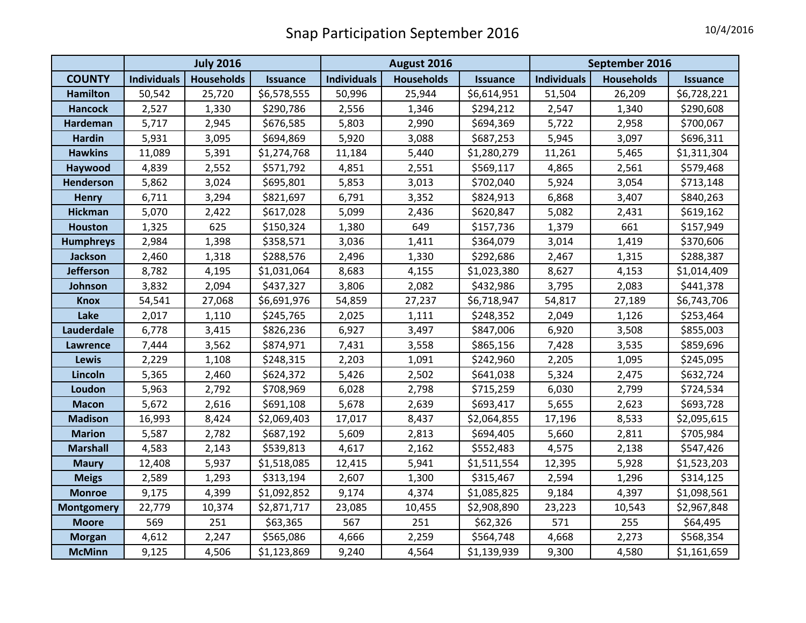|                   | <b>July 2016</b>   |                   |                 | August 2016        |                   |                 | September 2016     |                   |                 |
|-------------------|--------------------|-------------------|-----------------|--------------------|-------------------|-----------------|--------------------|-------------------|-----------------|
| <b>COUNTY</b>     | <b>Individuals</b> | <b>Households</b> | <b>Issuance</b> | <b>Individuals</b> | <b>Households</b> | <b>Issuance</b> | <b>Individuals</b> | <b>Households</b> | <b>Issuance</b> |
| <b>Hamilton</b>   | 50,542             | 25,720            | \$6,578,555     | 50,996             | 25,944            | \$6,614,951     | 51,504             | 26,209            | \$6,728,221     |
| <b>Hancock</b>    | 2,527              | 1,330             | \$290,786       | 2,556              | 1,346             | \$294,212       | 2,547              | 1,340             | \$290,608       |
| <b>Hardeman</b>   | 5,717              | 2,945             | \$676,585       | 5,803              | 2,990             | \$694,369       | 5,722              | 2,958             | \$700,067       |
| <b>Hardin</b>     | 5,931              | 3,095             | \$694,869       | 5,920              | 3,088             | \$687,253       | 5,945              | 3,097             | \$696,311       |
| <b>Hawkins</b>    | 11,089             | 5,391             | \$1,274,768     | 11,184             | 5,440             | \$1,280,279     | 11,261             | 5,465             | \$1,311,304     |
| Haywood           | 4,839              | 2,552             | \$571,792       | 4,851              | 2,551             | \$569,117       | 4,865              | 2,561             | \$579,468       |
| <b>Henderson</b>  | 5,862              | 3,024             | \$695,801       | 5,853              | 3,013             | \$702,040       | 5,924              | 3,054             | \$713,148       |
| <b>Henry</b>      | 6,711              | 3,294             | \$821,697       | 6,791              | 3,352             | \$824,913       | 6,868              | 3,407             | \$840,263       |
| <b>Hickman</b>    | 5,070              | 2,422             | \$617,028       | 5,099              | 2,436             | \$620,847       | 5,082              | 2,431             | \$619,162       |
| <b>Houston</b>    | 1,325              | 625               | \$150,324       | 1,380              | 649               | \$157,736       | 1,379              | 661               | \$157,949       |
| <b>Humphreys</b>  | 2,984              | 1,398             | \$358,571       | 3,036              | 1,411             | \$364,079       | 3,014              | 1,419             | \$370,606       |
| <b>Jackson</b>    | 2,460              | 1,318             | \$288,576       | 2,496              | 1,330             | \$292,686       | 2,467              | 1,315             | \$288,387       |
| <b>Jefferson</b>  | 8,782              | 4,195             | \$1,031,064     | 8,683              | 4,155             | \$1,023,380     | 8,627              | 4,153             | \$1,014,409     |
| Johnson           | 3,832              | 2,094             | \$437,327       | 3,806              | 2,082             | \$432,986       | 3,795              | 2,083             | \$441,378       |
| <b>Knox</b>       | 54,541             | 27,068            | \$6,691,976     | 54,859             | 27,237            | \$6,718,947     | 54,817             | 27,189            | \$6,743,706     |
| Lake              | 2,017              | 1,110             | \$245,765       | 2,025              | 1,111             | \$248,352       | 2,049              | 1,126             | \$253,464       |
| Lauderdale        | 6,778              | 3,415             | \$826,236       | 6,927              | 3,497             | \$847,006       | 6,920              | 3,508             | \$855,003       |
| Lawrence          | 7,444              | 3,562             | \$874,971       | 7,431              | 3,558             | \$865,156       | 7,428              | 3,535             | \$859,696       |
| <b>Lewis</b>      | 2,229              | 1,108             | \$248,315       | 2,203              | 1,091             | \$242,960       | 2,205              | 1,095             | \$245,095       |
| Lincoln           | 5,365              | 2,460             | \$624,372       | 5,426              | 2,502             | \$641,038       | 5,324              | 2,475             | \$632,724       |
| Loudon            | 5,963              | 2,792             | \$708,969       | 6,028              | 2,798             | \$715,259       | 6,030              | 2,799             | \$724,534       |
| <b>Macon</b>      | 5,672              | 2,616             | \$691,108       | 5,678              | 2,639             | \$693,417       | 5,655              | 2,623             | \$693,728       |
| <b>Madison</b>    | 16,993             | 8,424             | \$2,069,403     | 17,017             | 8,437             | \$2,064,855     | 17,196             | 8,533             | \$2,095,615     |
| <b>Marion</b>     | 5,587              | 2,782             | \$687,192       | 5,609              | 2,813             | \$694,405       | 5,660              | 2,811             | \$705,984       |
| <b>Marshall</b>   | 4,583              | 2,143             | \$539,813       | 4,617              | 2,162             | \$552,483       | 4,575              | 2,138             | \$547,426       |
| <b>Maury</b>      | 12,408             | 5,937             | \$1,518,085     | 12,415             | 5,941             | \$1,511,554     | 12,395             | 5,928             | \$1,523,203     |
| <b>Meigs</b>      | 2,589              | 1,293             | \$313,194       | 2,607              | 1,300             | \$315,467       | 2,594              | 1,296             | \$314,125       |
| <b>Monroe</b>     | 9,175              | 4,399             | \$1,092,852     | 9,174              | 4,374             | \$1,085,825     | 9,184              | 4,397             | \$1,098,561     |
| <b>Montgomery</b> | 22,779             | 10,374            | \$2,871,717     | 23,085             | 10,455            | \$2,908,890     | 23,223             | 10,543            | \$2,967,848     |
| <b>Moore</b>      | 569                | 251               | \$63,365        | 567                | 251               | \$62,326        | 571                | 255               | \$64,495        |
| <b>Morgan</b>     | 4,612              | 2,247             | \$565,086       | 4,666              | 2,259             | \$564,748       | 4,668              | 2,273             | \$568,354       |
| <b>McMinn</b>     | 9,125              | 4,506             | \$1,123,869     | 9,240              | 4,564             | \$1,139,939     | 9,300              | 4,580             | \$1,161,659     |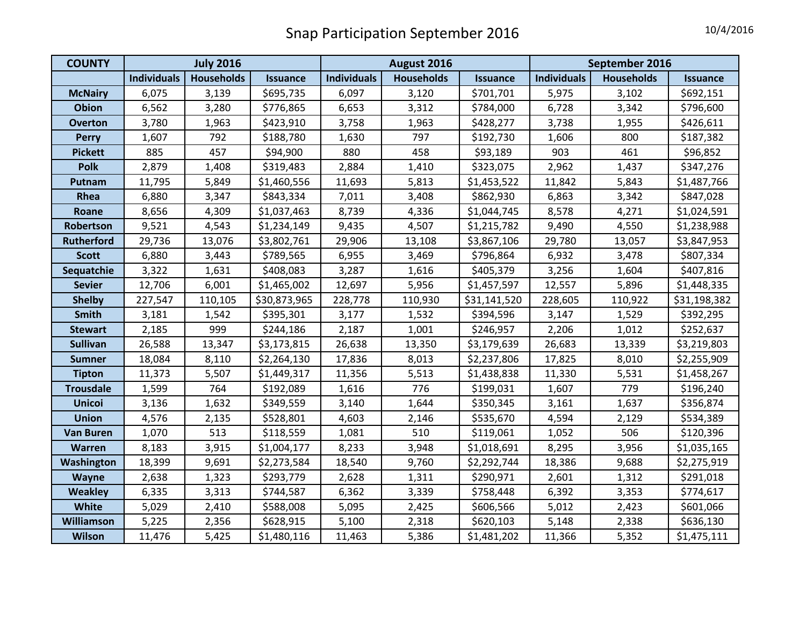| <b>COUNTY</b>     | <b>July 2016</b>   |                   |                 | August 2016        |                   |                 | September 2016     |                   |                 |
|-------------------|--------------------|-------------------|-----------------|--------------------|-------------------|-----------------|--------------------|-------------------|-----------------|
|                   | <b>Individuals</b> | <b>Households</b> | <b>Issuance</b> | <b>Individuals</b> | <b>Households</b> | <b>Issuance</b> | <b>Individuals</b> | <b>Households</b> | <b>Issuance</b> |
| <b>McNairy</b>    | 6,075              | 3,139             | \$695,735       | 6,097              | 3,120             | \$701,701       | 5,975              | 3,102             | \$692,151       |
| <b>Obion</b>      | 6,562              | 3,280             | \$776,865       | 6,653              | 3,312             | \$784,000       | 6,728              | 3,342             | \$796,600       |
| <b>Overton</b>    | 3,780              | 1,963             | \$423,910       | 3,758              | 1,963             | \$428,277       | 3,738              | 1,955             | \$426,611       |
| <b>Perry</b>      | 1,607              | 792               | \$188,780       | 1,630              | 797               | \$192,730       | 1,606              | 800               | \$187,382       |
| <b>Pickett</b>    | 885                | 457               | \$94,900        | 880                | 458               | \$93,189        | 903                | 461               | \$96,852        |
| <b>Polk</b>       | 2,879              | 1,408             | \$319,483       | 2,884              | 1,410             | \$323,075       | 2,962              | 1,437             | \$347,276       |
| Putnam            | 11,795             | 5,849             | \$1,460,556     | 11,693             | 5,813             | \$1,453,522     | 11,842             | 5,843             | \$1,487,766     |
| Rhea              | 6,880              | 3,347             | \$843,334       | 7,011              | 3,408             | \$862,930       | 6,863              | 3,342             | \$847,028       |
| Roane             | 8,656              | 4,309             | \$1,037,463     | 8,739              | 4,336             | \$1,044,745     | 8,578              | 4,271             | \$1,024,591     |
| Robertson         | 9,521              | 4,543             | \$1,234,149     | 9,435              | 4,507             | \$1,215,782     | 9,490              | 4,550             | \$1,238,988     |
| <b>Rutherford</b> | 29,736             | 13,076            | \$3,802,761     | 29,906             | 13,108            | \$3,867,106     | 29,780             | 13,057            | \$3,847,953     |
| <b>Scott</b>      | 6,880              | 3,443             | \$789,565       | 6,955              | 3,469             | \$796,864       | 6,932              | 3,478             | \$807,334       |
| Sequatchie        | 3,322              | 1,631             | \$408,083       | 3,287              | 1,616             | \$405,379       | 3,256              | 1,604             | \$407,816       |
| <b>Sevier</b>     | 12,706             | 6,001             | \$1,465,002     | 12,697             | 5,956             | \$1,457,597     | 12,557             | 5,896             | \$1,448,335     |
| <b>Shelby</b>     | 227,547            | 110,105           | \$30,873,965    | 228,778            | 110,930           | \$31,141,520    | 228,605            | 110,922           | \$31,198,382    |
| <b>Smith</b>      | 3,181              | 1,542             | \$395,301       | 3,177              | 1,532             | \$394,596       | 3,147              | 1,529             | \$392,295       |
| <b>Stewart</b>    | 2,185              | 999               | \$244,186       | 2,187              | 1,001             | \$246,957       | 2,206              | 1,012             | \$252,637       |
| <b>Sullivan</b>   | 26,588             | 13,347            | \$3,173,815     | 26,638             | 13,350            | \$3,179,639     | 26,683             | 13,339            | \$3,219,803     |
| <b>Sumner</b>     | 18,084             | 8,110             | \$2,264,130     | 17,836             | 8,013             | \$2,237,806     | 17,825             | 8,010             | \$2,255,909     |
| <b>Tipton</b>     | 11,373             | 5,507             | \$1,449,317     | 11,356             | 5,513             | \$1,438,838     | 11,330             | 5,531             | \$1,458,267     |
| <b>Trousdale</b>  | 1,599              | 764               | \$192,089       | 1,616              | 776               | \$199,031       | 1,607              | 779               | \$196,240       |
| <b>Unicoi</b>     | 3,136              | 1,632             | \$349,559       | 3,140              | 1,644             | \$350,345       | 3,161              | 1,637             | \$356,874       |
| <b>Union</b>      | 4,576              | 2,135             | \$528,801       | 4,603              | 2,146             | \$535,670       | 4,594              | 2,129             | \$534,389       |
| <b>Van Buren</b>  | 1,070              | 513               | \$118,559       | 1,081              | 510               | \$119,061       | 1,052              | 506               | \$120,396       |
| Warren            | 8,183              | 3,915             | \$1,004,177     | 8,233              | 3,948             | \$1,018,691     | 8,295              | 3,956             | \$1,035,165     |
| Washington        | 18,399             | 9,691             | \$2,273,584     | 18,540             | 9,760             | \$2,292,744     | 18,386             | 9,688             | \$2,275,919     |
| Wayne             | 2,638              | 1,323             | \$293,779       | 2,628              | 1,311             | \$290,971       | 2,601              | 1,312             | \$291,018       |
| <b>Weakley</b>    | 6,335              | 3,313             | \$744,587       | 6,362              | 3,339             | \$758,448       | 6,392              | 3,353             | \$774,617       |
| <b>White</b>      | 5,029              | 2,410             | \$588,008       | 5,095              | 2,425             | \$606,566       | 5,012              | 2,423             | \$601,066       |
| Williamson        | 5,225              | 2,356             | \$628,915       | 5,100              | 2,318             | \$620,103       | 5,148              | 2,338             | \$636,130       |
| Wilson            | 11,476             | 5,425             | \$1,480,116     | 11,463             | 5,386             | \$1,481,202     | 11,366             | 5,352             | \$1,475,111     |